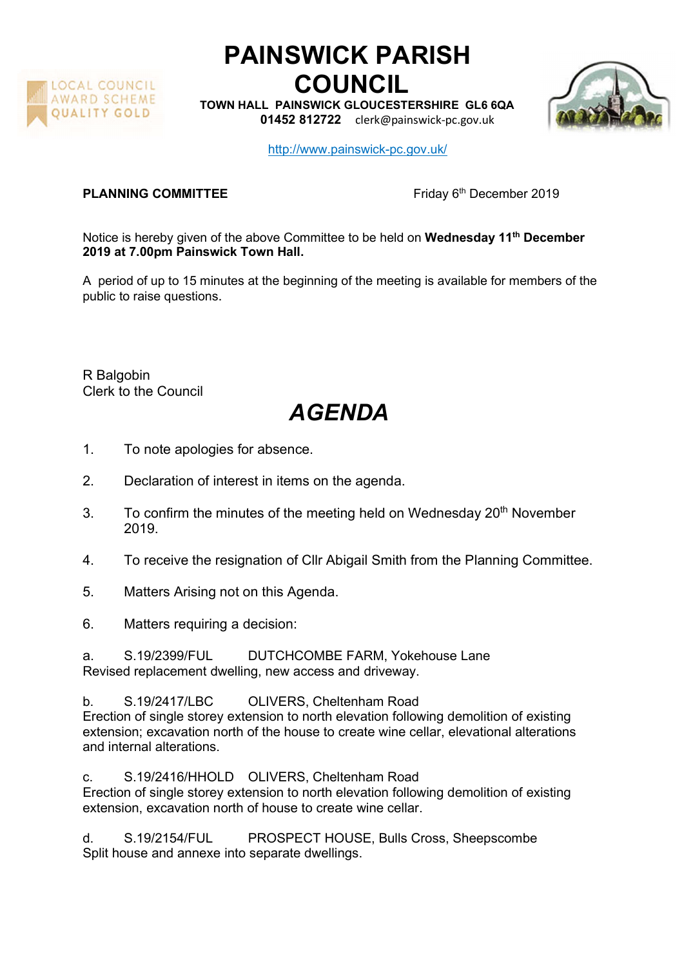

## PAINSWICK PARISH COUNCIL

TOWN HALL PAINSWICK GLOUCESTERSHIRE GL6 6QA

01452 812722 clerk@painswick-pc.gov.uk



http://www.painswick-pc.gov.uk/

**PLANNING COMMITTEE** Friday 6<sup>th</sup> December 2019

Notice is hereby given of the above Committee to be held on Wednesday 11<sup>th</sup> December 2019 at 7.00pm Painswick Town Hall.

A period of up to 15 minutes at the beginning of the meeting is available for members of the public to raise questions.

R Balgobin Clerk to the Council

## AGENDA

- 1. To note apologies for absence.
- 2. Declaration of interest in items on the agenda.
- 3. To confirm the minutes of the meeting held on Wednesday 20<sup>th</sup> November 2019.
- 4. To receive the resignation of Cllr Abigail Smith from the Planning Committee.
- 5. Matters Arising not on this Agenda.
- 6. Matters requiring a decision:

a. S.19/2399/FUL DUTCHCOMBE FARM, Yokehouse Lane Revised replacement dwelling, new access and driveway.

b. S.19/2417/LBC OLIVERS, Cheltenham Road Erection of single storey extension to north elevation following demolition of existing extension; excavation north of the house to create wine cellar, elevational alterations and internal alterations.

c. S.19/2416/HHOLD OLIVERS, Cheltenham Road Erection of single storey extension to north elevation following demolition of existing extension, excavation north of house to create wine cellar.

d. S.19/2154/FUL PROSPECT HOUSE, Bulls Cross, Sheepscombe Split house and annexe into separate dwellings.